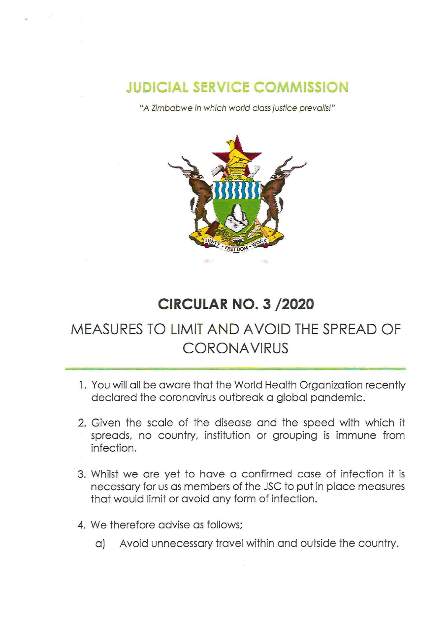## **JUDICIAL SERVICE COMMISSION**

"A Zimbabwe in which world class justice prevails!"



## **CIRCULAR NO.3 /2020**

## **MEASURES TO LIMIT AND AVOID THE SPREAD OF CORONA VIRUS**

- 1. You will all be aware that the World Health Organization recently declared the coronavirus outbreak a global pandemic.
- 2. Given the scale of the disease and the speed with which it spreads, no country, institution or grouping is immune from infection.
- 3. Whilst we are yet to have a confirmed case of infection it is necessary for us as members of the JSC to put in place measures that would limit or avoid any form of infection.
- 4. We therefore advise as follows;
	- aJ Avoid unnecessary travel within and outside the country.